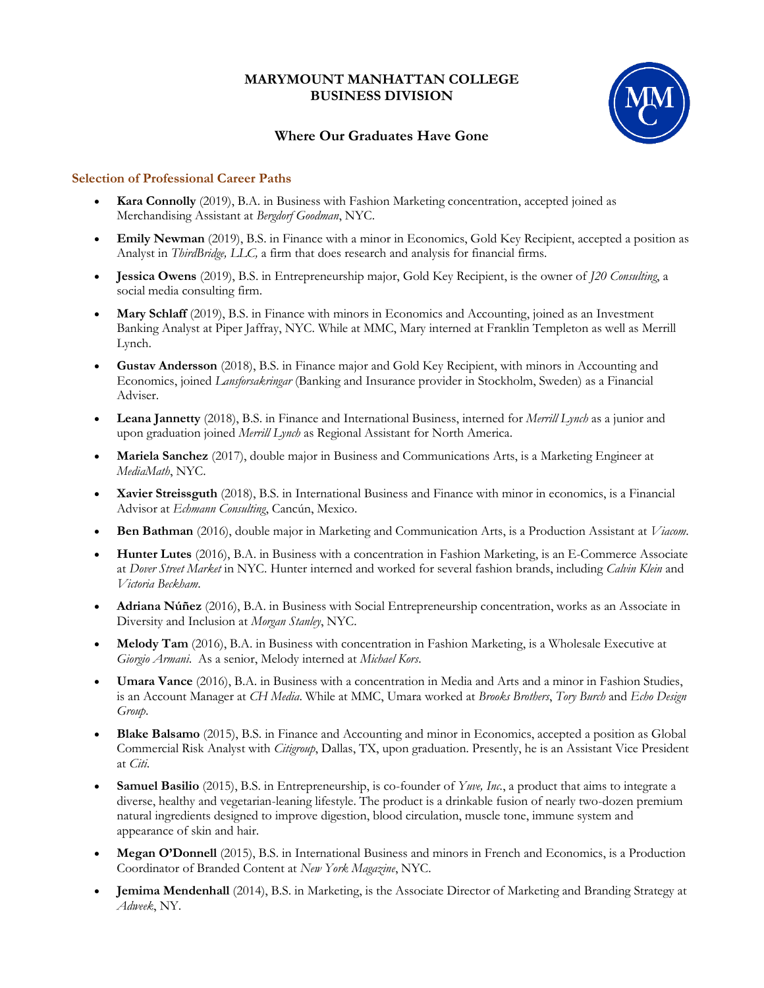## **MARYMOUNT MANHATTAN COLLEGE BUSINESS DIVISION**



## **Where Our Graduates Have Gone**

## **Selection of Professional Career Paths**

- **Kara Connolly** (2019), B.A. in Business with Fashion Marketing concentration, accepted joined as Merchandising Assistant at *Bergdorf Goodman*, NYC.
- **Emily Newman** (2019), B.S. in Finance with a minor in Economics, Gold Key Recipient, accepted a position as Analyst in *ThirdBridge, LLC,* a firm that does research and analysis for financial firms.
- **Jessica Owens** (2019), B.S. in Entrepreneurship major, Gold Key Recipient, is the owner of *J20 Consulting*, a social media consulting firm.
- **Mary Schlaff** (2019), B.S. in Finance with minors in Economics and Accounting, joined as an Investment Banking Analyst at Piper Jaffray, NYC. While at MMC, Mary interned at Franklin Templeton as well as Merrill Lynch.
- **Gustav Andersson** (2018), B.S. in Finance major and Gold Key Recipient, with minors in Accounting and Economics, joined *Lansforsakringar* (Banking and Insurance provider in Stockholm, Sweden) as a Financial Adviser.
- **Leana Jannetty** (2018), B.S. in Finance and International Business, interned for *Merrill Lynch* as a junior and upon graduation joined *Merrill Lynch* as Regional Assistant for North America.
- **Mariela Sanchez** (2017), double major in Business and Communications Arts, is a Marketing Engineer at *MediaMath*, NYC.
- **Xavier Streissguth** (2018), B.S. in International Business and Finance with minor in economics, is a Financial Advisor at *Echmann Consulting*, Cancún, Mexico.
- **Ben Bathman** (2016), double major in Marketing and Communication Arts, is a Production Assistant at *Viacom*.
- **Hunter Lutes** (2016), B.A. in Business with a concentration in Fashion Marketing, is an E-Commerce Associate at *Dover Street Market* in NYC. Hunter interned and worked for several fashion brands, including *Calvin Klein* and *Victoria Beckham*.
- **Adriana Núñez** (2016), B.A. in Business with Social Entrepreneurship concentration, works as an Associate in Diversity and Inclusion at *Morgan Stanley*, NYC.
- **Melody Tam** (2016), B.A. in Business with concentration in Fashion Marketing, is a Wholesale Executive at *Giorgio Armani*. As a senior, Melody interned at *Michael Kors*.
- **Umara Vance** (2016), B.A. in Business with a concentration in Media and Arts and a minor in Fashion Studies, is an Account Manager at *CH Media*. While at MMC, Umara worked at *Brooks Brothers*, *Tory Burch* and *Echo Design Group*.
- **Blake Balsamo** (2015), B.S. in Finance and Accounting and minor in Economics, accepted a position as Global Commercial Risk Analyst with *Citigroup*, Dallas, TX, upon graduation. Presently, he is an Assistant Vice President at *Citi*.
- **Samuel Basilio** (2015), B.S. in Entrepreneurship, is co-founder of *Yuve, Inc.*, a product that aims to integrate a diverse, healthy and vegetarian-leaning lifestyle. The product is a drinkable fusion of nearly two-dozen premium natural ingredients designed to improve digestion, blood circulation, muscle tone, immune system and appearance of skin and hair.
- **Megan O'Donnell** (2015), B.S. in International Business and minors in French and Economics, is a Production Coordinator of Branded Content at *New York Magazine*, NYC.
- **Jemima Mendenhall** (2014), B.S. in Marketing, is the Associate Director of Marketing and Branding Strategy at *Adweek*, NY.